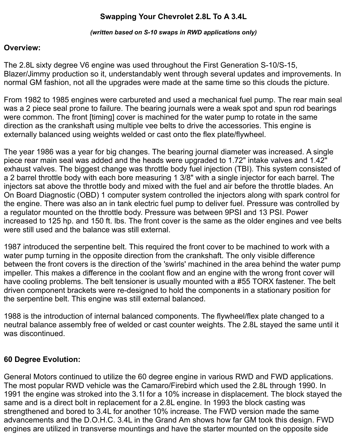# **Swapping Your Chevrolet 2.8L To A 3.4L**

*(written based on S-10 swaps in RWD applications only)*

#### **Overview:**

The 2.8L sixty degree V6 engine was used throughout the First Generation S-10/S-15, Blazer/Jimmy production so it, understandably went through several updates and improvements. In normal GM fashion, not all the upgrades were made at the same time so this clouds the picture.

From 1982 to 1985 engines were carbureted and used a mechanical fuel pump. The rear main seal was a 2 piece seal prone to failure. The bearing journals were a weak spot and spun rod bearings were common. The front [timing] cover is machined for the water pump to rotate in the same direction as the crankshaft using multiple vee belts to drive the accessories. This engine is externally balanced using weights welded or cast onto the flex plate/flywheel.

The year 1986 was a year for big changes. The bearing journal diameter was increased. A single piece rear main seal was added and the heads were upgraded to 1.72" intake valves and 1.42" exhaust valves. The biggest change was throttle body fuel injection (TBI). This system consisted of a 2 barrel throttle body with each bore measuring 1 3/8" with a single injector for each barrel. The injectors sat above the throttle body and mixed with the fuel and air before the throttle blades. An On Board Diagnostic (OBD) 1 computer system controlled the injectors along with spark control for the engine. There was also an in tank electric fuel pump to deliver fuel. Pressure was controlled by a regulator mounted on the throttle body. Pressure was between 9PSI and 13 PSI. Power increased to 125 hp. and 150 ft. lbs. The front cover is the same as the older engines and vee belts were still used and the balance was still external.

1987 introduced the serpentine belt. This required the front cover to be machined to work with a water pump turning in the opposite direction from the crankshaft. The only visible difference between the front covers is the direction of the 'swirls' machined in the area behind the water pump impeller. This makes a difference in the coolant flow and an engine with the wrong front cover will have cooling problems. The belt tensioner is usually mounted with a #55 TORX fastener. The belt driven component brackets were re-designed to hold the components in a stationary position for the serpentine belt. This engine was still external balanced.

1988 is the introduction of internal balanced components. The flywheel/flex plate changed to a neutral balance assembly free of welded or cast counter weights. The 2.8L stayed the same until it was discontinued.

# **60 Degree Evolution:**

General Motors continued to utilize the 60 degree engine in various RWD and FWD applications. The most popular RWD vehicle was the Camaro/Firebird which used the 2.8L through 1990. In 1991 the engine was stroked into the 3.1l for a 10% increase in displacement. The block stayed the same and is a direct bolt in replacement for a 2.8L engine. In 1993 the block casting was strengthened and bored to 3.4L for another 10% increase. The FWD version made the same advancements and the D.O.H.C. 3.4L in the Grand Am shows how far GM took this design. FWD engines are utilized in transverse mountings and have the starter mounted on the opposite side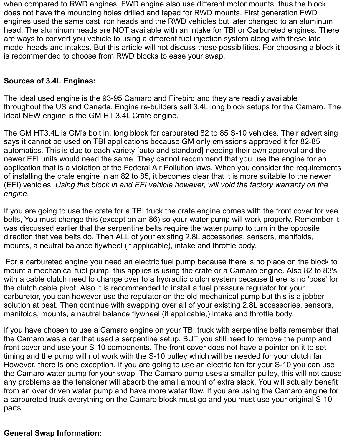when compared to RWD engines. FWD engine also use different motor mounts, thus the block does not have the mounding holes drilled and taped for RWD mounts. First generation FWD engines used the same cast iron heads and the RWD vehicles but later changed to an aluminum head. The aluminum heads are NOT available with an intake for TBI or Carbureted engines. There are ways to convert you vehicle to using a different fuel injection system along with these late model heads and intakes. But this article will not discuss these possibilities. For choosing a block it is recommended to choose from RWD blocks to ease your swap.

## **Sources of 3.4L Engines:**

The ideal used engine is the 93-95 Camaro and Firebird and they are readily available throughout the US and Canada. Engine re-builders sell 3.4L long block setups for the Camaro. The Ideal NEW engine is the GM HT 3.4L Crate engine.

The GM HT3.4L is GM's bolt in, long block for carbureted 82 to 85 S-10 vehicles. Their advertising says it cannot be used on TBI applications because GM only emissions approved it for 82-85 automatics. This is due to each variety [auto and standard] needing their own approval and the newer EFI units would need the same. They cannot recommend that you use the engine for an application that is a violation of the Federal Air Pollution laws. When you consider the requirements of installing the crate engine in an 82 to 85, it becomes clear that it is more suitable to the newer (EFI) vehicles. *Using this block in and EFI vehicle however, will void the factory warranty on the engine.*

If you are going to use the crate for a TBI truck the crate engine comes with the front cover for vee belts, You must change this (except on an 86) so your water pump will work properly. Remember it was discussed earlier that the serpentine belts require the water pump to turn in the opposite direction that vee belts do. Then ALL of your existing 2.8L accessories, sensors, manifolds, mounts, a neutral balance flywheel (if applicable), intake and throttle body.

For a carbureted engine you need an electric fuel pump because there is no place on the block to mount a mechanical fuel pump, this applies is using the crate or a Camaro engine. Also 82 to 83's with a cable clutch need to change over to a hydraulic clutch system because there is no 'boss' for the clutch cable pivot. Also it is recommended to install a fuel pressure regulator for your carburetor, you can however use the regulator on the old mechanical pump but this is a jobber solution at best. Then continue with swapping over all of your existing 2.8L accessories, sensors, manifolds, mounts, a neutral balance flywheel (if applicable,) intake and throttle body.

If you have chosen to use a Camaro engine on your TBI truck with serpentine belts remember that the Camaro was a car that used a serpentine setup. BUT you still need to remove the pump and front cover and use your S-10 components. The front cover does not have a pointer on it to set timing and the pump will not work with the S-10 pulley which will be needed for your clutch fan. However, there is one exception. If you are going to use an electric fan for your S-10 you can use the Camaro water pump for your swap. The Camaro pump uses a smaller pulley, this will not cause any problems as the tensioner will absorb the small amount of extra slack. You will actually benefit from an over driven water pump and have more water flow. If you are using the Camaro engine for a carbureted truck everything on the Camaro block must go and you must use your original S-10 parts.

#### **General Swap Information:**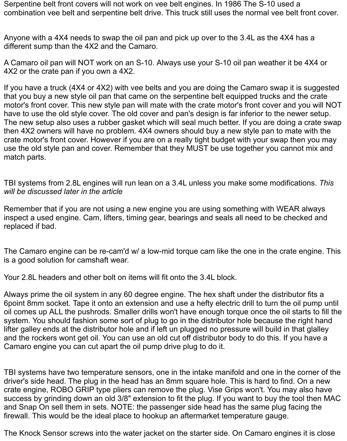Serpentine belt front covers will not work on vee belt engines. In 1986 The S-10 used a combination vee belt and serpentine belt drive. This truck still uses the normal vee belt front cover.

Anyone with a 4X4 needs to swap the oil pan and pick up over to the 3.4L as the 4X4 has a different sump than the 4X2 and the Camaro.

A Camaro oil pan will NOT work on an S-10. Always use your S-10 oil pan weather it be 4X4 or 4X2 or the crate pan if you own a 4X2.

If you have a truck (4X4 or 4X2) with vee belts and you are doing the Camaro swap it is suggested that you buy a new style oil pan that came on the serpentine belt equipped trucks and the crate motor's front cover. This new style pan will mate with the crate motor's front cover and you will NOT have to use the old style cover. The old cover and pan's design is far inferior to the newer setup. The new setup also uses a rubber gasket which will seal much better. If you are doing a crate swap then 4X2 owners will have no problem. 4X4 owners should buy a new style pan to mate with the crate motor's front cover. However if you are on a really tight budget with your swap then you may use the old style pan and cover. Remember that they MUST be use together you cannot mix and match parts.

TBI systems from 2.8L engines will run lean on a 3.4L unless you make some modifications. *This will be discussed later in the article*

Remember that if you are not using a new engine you are using something with WEAR always inspect a used engine. Cam, lifters, timing gear, bearings and seals all need to be checked and replaced if bad.

The Camaro engine can be re-cam'd w/ a low-mid torque cam like the one in the crate engine. This is a good solution for camshaft wear.

Your 2.8L headers and other bolt on items will fit onto the 3.4L block.

Always prime the oil system in any 60 degree engine. The hex shaft under the distributor fits a 6point 8mm socket. Tape it onto an extension and use a hefty electric drill to turn the oil pump until oil comes up ALL the pushrods. Smaller drills won't have enough torque once the oil starts to fill the system. You should fashion some sort of plug to go in the distributor hole because the right hand lifter galley ends at the distributor hole and if left un plugged no pressure will build in that glalley and the rockers wont get oil. You can use an old cut off distributor body to do this. If you have a Camaro engine you can cut apart the oil pump drive plug to do it.

TBI systems have two temperature sensors, one in the intake manifold and one in the corner of the driver's side head. The plug in the head has an 8mm square hole. This is hard to find. On a new crate engine, ROBO GRIP type pliers can remove the plug. Vise Grips won't. You may also have success by grinding down an old 3/8" extension to fit the plug. If you want to buy the tool then MAC and Snap On sell them in sets. NOTE: the passenger side head has the same plug facing the firewall. This would be the ideal place to hookup an aftermarket temperature gauge.

The Knock Sensor screws into the water jacket on the starter side. On Camaro engines it is close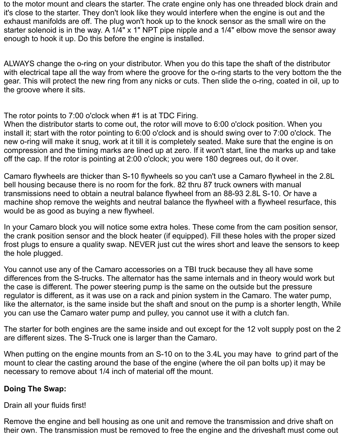to the motor mount and clears the starter. The crate engine only has one threaded block drain and it's close to the starter. They don't look like they would interfere when the engine is out and the exhaust manifolds are off. The plug won't hook up to the knock sensor as the small wire on the starter solenoid is in the way. A 1/4" x 1" NPT pipe nipple and a 1/4" elbow move the sensor away enough to hook it up. Do this before the engine is installed.

ALWAYS change the o-ring on your distributor. When you do this tape the shaft of the distributor with electrical tape all the way from where the groove for the o-ring starts to the very bottom the the gear. This will protect the new ring from any nicks or cuts. Then slide the o-ring, coated in oil, up to the groove where it sits.

The rotor points to 7:00 o'clock when #1 is at TDC Firing.

When the distributor starts to come out, the rotor will move to 6:00 o'clock position. When you install it; start with the rotor pointing to 6:00 o'clock and is should swing over to 7:00 o'clock. The new o-ring will make it snug, work at it till it is completely seated. Make sure that the engine is on compression and the timing marks are lined up at zero. If it won't start, line the marks up and take off the cap. If the rotor is pointing at 2:00 o'clock; you were 180 degrees out, do it over.

Camaro flywheels are thicker than S-10 flywheels so you can't use a Camaro flywheel in the 2.8L bell housing because there is no room for the fork. 82 thru 87 truck owners with manual transmissions need to obtain a neutral balance flywheel from an 88-93 2.8L S-10. Or have a machine shop remove the weights and neutral balance the flywheel with a flywheel resurface, this would be as good as buying a new flywheel.

In your Camaro block you will notice some extra holes. These come from the cam position sensor, the crank position sensor and the block heater (if equipped). Fill these holes with the proper sized frost plugs to ensure a quality swap. NEVER just cut the wires short and leave the sensors to keep the hole plugged.

You cannot use any of the Camaro accessories on a TBI truck because they all have some differences from the S-trucks. The alternator has the same internals and in theory would work but the case is different. The power steering pump is the same on the outside but the pressure regulator is different, as it was use on a rack and pinion system in the Camaro. The water pump, like the alternator, is the same inside but the shaft and snout on the pump is a shorter length, While you can use the Camaro water pump and pulley, you cannot use it with a clutch fan.

The starter for both engines are the same inside and out except for the 12 volt supply post on the 2 are different sizes. The S-Truck one is larger than the Camaro.

When putting on the engine mounts from an S-10 on to the 3.4L you may have to grind part of the mount to clear the casting around the base of the engine (where the oil pan bolts up) it may be necessary to remove about 1/4 inch of material off the mount.

#### **Doing The Swap:**

Drain all your fluids first!

Remove the engine and bell housing as one unit and remove the transmission and drive shaft on their own. The transmission must be removed to free the engine and the driveshaft must come out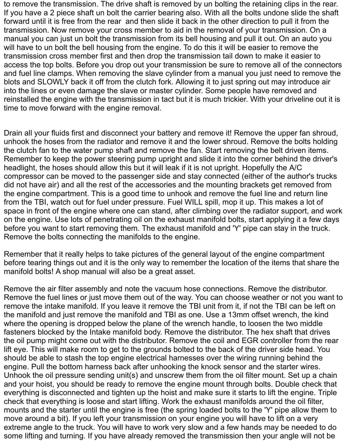to remove the transmission. The drive shaft is removed by un bolting the retaining clips in the rear. If you have a 2 piece shaft un bolt the carrier bearing also. With all the bolts undone slide the shaft forward until it is free from the rear and then slide it back in the other direction to pull it from the transmission. Now remove your cross member to aid in the removal of your transmission. On a manual you can just un bolt the transmission from its bell housing and pull it out. On an auto you will have to un bolt the bell housing from the engine. To do this it will be easier to remove the transmission cross member first and then drop the transmission tail down to make it easier to access the top bolts. Before you drop out your transmission be sure to remove all of the connectors and fuel line clamps. When removing the slave cylinder from a manual you just need to remove the blots and SLOWLY back it off from the clutch fork. Allowing it to just spring out may introduce air into the lines or even damage the slave or master cylinder. Some people have removed and reinstalled the engine with the transmission in tact but it is much trickier. With your driveline out it is time to move forward with the engine removal.

Drain all your fluids first and disconnect your battery and remove it! Remove the upper fan shroud, unhook the hoses from the radiator and remove it and the lower shroud. Remove the bolts holding the clutch fan to the water pump shaft and remove the fan. Start removing the belt driven items. Remember to keep the power steering pump upright and slide it into the corner behind the driver's headlight, the hoses should allow this but it will leak if it is not upright. Hopefully the A/C compressor can be moved to the passenger side and stay connected (either of the author's trucks did not have air) and all the rest of the accessories and the mounting brackets get removed from the engine compartment. This is a good time to unhook and remove the fuel line and return line from the TBI, watch out for fuel under pressure. Fuel WILL spill, mop it up. This makes a lot of space in front of the engine where one can stand, after climbing over the radiator support, and work on the engine. Use lots of penetrating oil on the exhaust manifold bolts, start applying it a few days before you want to start removing them. The exhaust manifold and 'Y' pipe can stay in the truck. Remove the bolts connecting the manifolds to the engine.

Remember that it really helps to take pictures of the general layout of the engine compartment before tearing things out and it is the only way to remember the location of the items that share the manifold bolts! A shop manual will also be a great asset.

Remove the air filter assembly and note the vacuum hose connections. Remove the distributor. Remove the fuel lines or just move them out of the way. You can choose weather or not you want to remove the intake manifold. If you leave it remove the TBI unit from it, if not the TBI can be left on the manifold and just remove the manifold and TBI as one. Use a 13mm offset wrench, the kind where the opening is dropped below the plane of the wrench handle, to loosen the two middle fasteners blocked by the Intake manifold body. Remove the distributor. The hex shaft that drives the oil pump might come out with the distributor. Remove the coil and EGR controller from the rear lift eye. This will make room to get to the grounds bolted to the back of the driver side head. You should be able to stash the top engine electrical harnesses over the wiring running behind the engine. Pull the bottom harness back after unhooking the knock sensor and the starter wires. Unhook the oil pressure sending unit(s) and unscrew them from the oil filter mount. Set up a chain and your hoist, you should be ready to remove the engine mount through bolts. Double check that everything is disconnected and tighten up the hoist and make sure it starts to lift the engine. Triple check that everything is loose and start lifting. Work the exhaust manifolds around the oil filter, mounts and the starter until the engine is free (the spring loaded bolts to the 'Y' pipe allow them to move around a bit). If you left your transmission on your engine you will have to lift on a very extreme angle to the truck. You will have to work very slow and a few hands may be needed to do some lifting and turning. If you have already removed the transmission then your angle will not be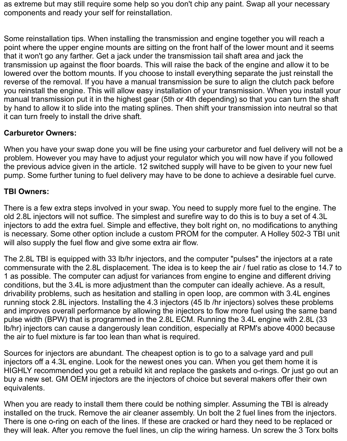as extreme but may still require some help so you don't chip any paint. Swap all your necessary components and ready your self for reinstallation.

Some reinstallation tips. When installing the transmission and engine together you will reach a point where the upper engine mounts are sitting on the front half of the lower mount and it seems that it won't go any farther. Get a jack under the transmission tail shaft area and jack the transmission up against the floor boards. This will raise the back of the engine and allow it to be lowered over the bottom mounts. If you choose to install everything separate the just reinstall the reverse of the removal. If you have a manual transmission be sure to align the clutch pack before you reinstall the engine. This will allow easy installation of your transmission. When you install your manual transmission put it in the highest gear (5th or 4th depending) so that you can turn the shaft by hand to allow it to slide into the mating splines. Then shift your transmission into neutral so that it can turn freely to install the drive shaft.

# **Carburetor Owners:**

When you have your swap done you will be fine using your carburetor and fuel delivery will not be a problem. However you may have to adjust your regulator which you will now have if you followed the previous advice given in the article. 12 switched supply will have to be given to your new fuel pump. Some further tuning to fuel delivery may have to be done to achieve a desirable fuel curve.

## **TBI Owners:**

There is a few extra steps involved in your swap. You need to supply more fuel to the engine. The old 2.8L injectors will not suffice. The simplest and surefire way to do this is to buy a set of 4.3L injectors to add the extra fuel. Simple and effective, they bolt right on, no modifications to anything is necessary. Some other option include a custom PROM for the computer. A Holley 502-3 TBI unit will also supply the fuel flow and give some extra air flow.

The 2.8L TBI is equipped with 33 lb/hr injectors, and the computer "pulses" the injectors at a rate commensurate with the 2.8L displacement. The idea is to keep the air / fuel ratio as close to 14.7 to 1 as possible. The computer can adjust for variances from engine to engine and different driving conditions, but the 3.4L is more adjustment than the computer can ideally achieve. As a result, drivability problems, such as hesitation and stalling in open loop, are common with 3.4L engines running stock 2.8L injectors. Installing the 4.3 injectors (45 lb /hr injectors) solves these problems and improves overall performance by allowing the injectors to flow more fuel using the same band pulse width (BPW) that is programmed in the 2.8L ECM. Running the 3.4L engine with 2.8L (33 lb/hr) injectors can cause a dangerously lean condition, especially at RPM's above 4000 because the air to fuel mixture is far too lean than what is required.

Sources for injectors are abundant. The cheapest option is to go to a salvage yard and pull injectors off a 4.3L engine. Look for the newest ones you can. When you get them home it is HIGHLY recommended you get a rebuild kit and replace the gaskets and o-rings. Or just go out an buy a new set. GM OEM injectors are the injectors of choice but several makers offer their own equivalents.

When you are ready to install them there could be nothing simpler. Assuming the TBI is already installed on the truck. Remove the air cleaner assembly. Un bolt the 2 fuel lines from the injectors. There is one o-ring on each of the lines. If these are cracked or hard they need to be replaced or they will leak. After you remove the fuel lines, un clip the wiring harness. Un screw the 3 Torx bolts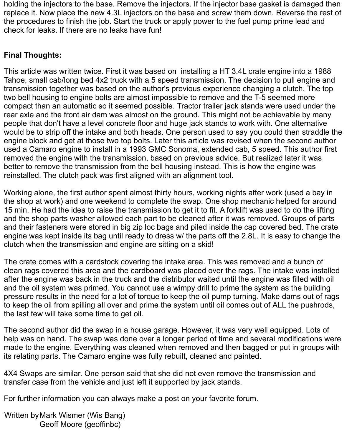holding the injectors to the base. Remove the injectors. If the injector base gasket is damaged then replace it. Now place the new 4.3L injectors on the base and screw them down. Reverse the rest of the procedures to finish the job. Start the truck or apply power to the fuel pump prime lead and check for leaks. If there are no leaks have fun!

## **Final Thoughts:**

This article was written twice. First it was based on installing a HT 3.4L crate engine into a 1988 Tahoe, small cab/long bed 4x2 truck with a 5 speed transmission. The decision to pull engine and transmission together was based on the author's previous experience changing a clutch. The top two bell housing to engine bolts are almost impossible to remove and the T-5 seemed more compact than an automatic so it seemed possible. Tractor trailer jack stands were used under the rear axle and the front air dam was almost on the ground. This might not be achievable by many people that don't have a level concrete floor and huge jack stands to work with. One alternative would be to strip off the intake and both heads. One person used to say you could then straddle the engine block and get at those two top bolts. Later this article was revised when the second author used a Camaro engine to install in a 1993 GMC Sonoma, extended cab, 5 speed. This author first removed the engine with the transmission, based on previous advice. But realized later it was better to remove the transmission from the bell housing instead. This is how the engine was reinstalled. The clutch pack was first aligned with an alignment tool.

Working alone, the first author spent almost thirty hours, working nights after work (used a bay in the shop at work) and one weekend to complete the swap. One shop mechanic helped for around 15 min. He had the idea to raise the transmission to get it to fit. A forklift was used to do the lifting and the shop parts washer allowed each part to be cleaned after it was removed. Groups of parts and their fasteners were stored in big zip loc bags and piled inside the cap covered bed. The crate engine was kept inside its bag until ready to dress w/ the parts off the 2.8L. It is easy to change the clutch when the transmission and engine are sitting on a skid!

The crate comes with a cardstock covering the intake area. This was removed and a bunch of clean rags covered this area and the cardboard was placed over the rags. The intake was installed after the engine was back in the truck and the distributor waited until the engine was filled with oil and the oil system was primed. You cannot use a wimpy drill to prime the system as the building pressure results in the need for a lot of torque to keep the oil pump turning. Make dams out of rags to keep the oil from spilling all over and prime the system until oil comes out of ALL the pushrods, the last few will take some time to get oil.

The second author did the swap in a house garage. However, it was very well equipped. Lots of help was on hand. The swap was done over a longer period of time and several modifications were made to the engine. Everything was cleaned when removed and then bagged or put in groups with its relating parts. The Camaro engine was fully rebuilt, cleaned and painted.

4X4 Swaps are similar. One person said that she did not even remove the transmission and transfer case from the vehicle and just left it supported by jack stands.

For further information you can always make a post on your favorite forum.

Written byMark Wismer (Wis Bang) Geoff Moore (geoffinbc)